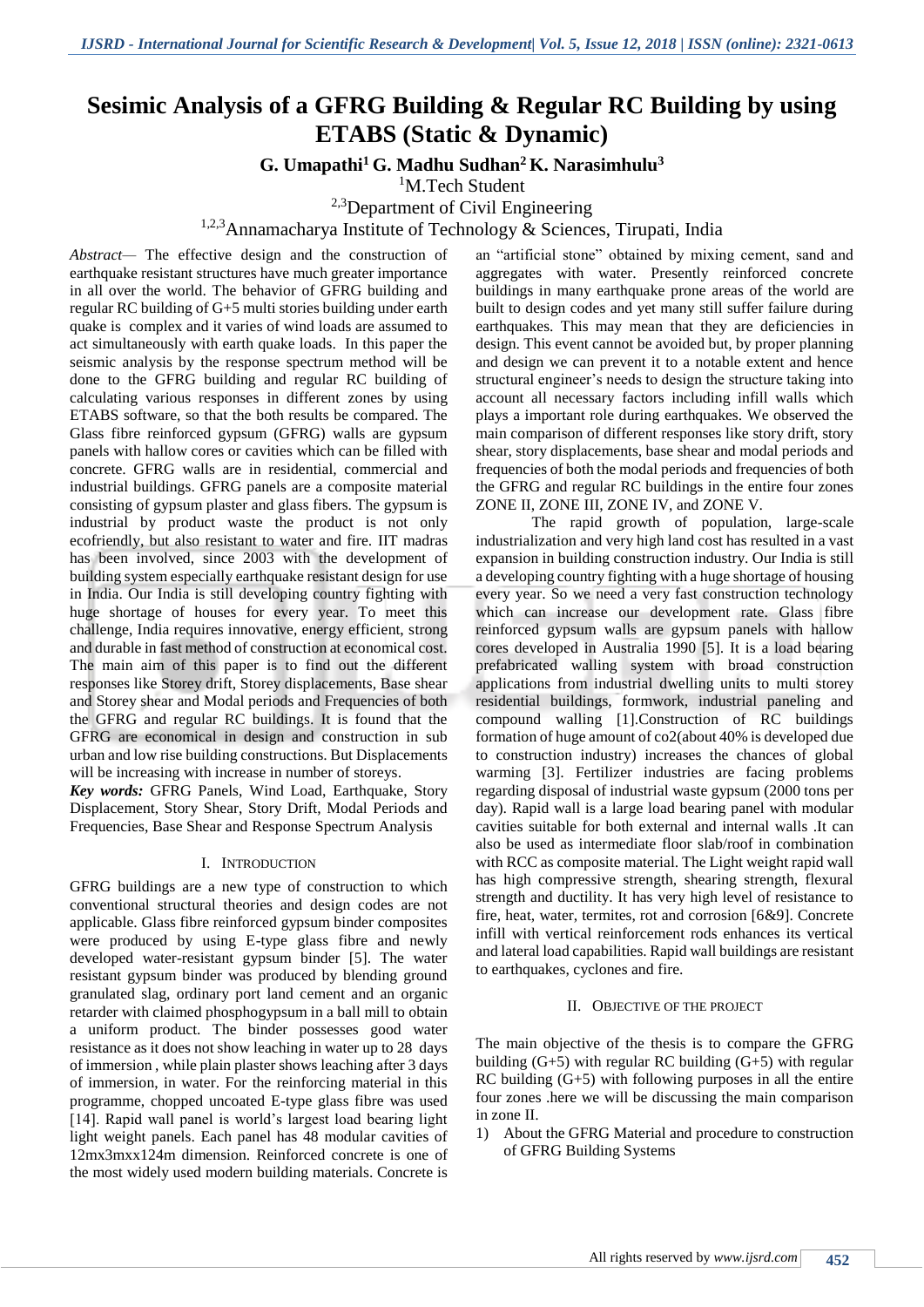# **Sesimic Analysis of a GFRG Building & Regular RC Building by using ETABS (Static & Dynamic)**

**G. Umapathi<sup>1</sup> G. Madhu Sudhan<sup>2</sup>K. Narasimhulu<sup>3</sup>**

<sup>1</sup>M.Tech Student

<sup>2,3</sup>Department of Civil Engineering

1,2,3Annamacharya Institute of Technology & Sciences, Tirupati, India

*Abstract—* The effective design and the construction of earthquake resistant structures have much greater importance in all over the world. The behavior of GFRG building and regular RC building of G+5 multi stories building under earth quake is complex and it varies of wind loads are assumed to act simultaneously with earth quake loads. In this paper the seismic analysis by the response spectrum method will be done to the GFRG building and regular RC building of calculating various responses in different zones by using ETABS software, so that the both results be compared. The Glass fibre reinforced gypsum (GFRG) walls are gypsum panels with hallow cores or cavities which can be filled with concrete. GFRG walls are in residential, commercial and industrial buildings. GFRG panels are a composite material consisting of gypsum plaster and glass fibers. The gypsum is industrial by product waste the product is not only ecofriendly, but also resistant to water and fire. IIT madras has been involved, since 2003 with the development of building system especially earthquake resistant design for use in India. Our India is still developing country fighting with huge shortage of houses for every year. To meet this challenge, India requires innovative, energy efficient, strong and durable in fast method of construction at economical cost. The main aim of this paper is to find out the different responses like Storey drift, Storey displacements, Base shear and Storey shear and Modal periods and Frequencies of both the GFRG and regular RC buildings. It is found that the GFRG are economical in design and construction in sub urban and low rise building constructions. But Displacements will be increasing with increase in number of storeys.

*Key words:* GFRG Panels, Wind Load, Earthquake, Story Displacement, Story Shear, Story Drift, Modal Periods and Frequencies, Base Shear and Response Spectrum Analysis

#### I. INTRODUCTION

GFRG buildings are a new type of construction to which conventional structural theories and design codes are not applicable. Glass fibre reinforced gypsum binder composites were produced by using E-type glass fibre and newly developed water-resistant gypsum binder [5]. The water resistant gypsum binder was produced by blending ground granulated slag, ordinary port land cement and an organic retarder with claimed phosphogypsum in a ball mill to obtain a uniform product. The binder possesses good water resistance as it does not show leaching in water up to 28 days of immersion , while plain plaster shows leaching after 3 days of immersion, in water. For the reinforcing material in this programme, chopped uncoated E-type glass fibre was used [14]. Rapid wall panel is world's largest load bearing light light weight panels. Each panel has 48 modular cavities of 12mx3mxx124m dimension. Reinforced concrete is one of the most widely used modern building materials. Concrete is an "artificial stone" obtained by mixing cement, sand and aggregates with water. Presently reinforced concrete buildings in many earthquake prone areas of the world are built to design codes and yet many still suffer failure during earthquakes. This may mean that they are deficiencies in design. This event cannot be avoided but, by proper planning and design we can prevent it to a notable extent and hence structural engineer's needs to design the structure taking into account all necessary factors including infill walls which plays a important role during earthquakes. We observed the main comparison of different responses like story drift, story shear, story displacements, base shear and modal periods and frequencies of both the modal periods and frequencies of both the GFRG and regular RC buildings in the entire four zones ZONE II, ZONE III, ZONE IV, and ZONE V.

The rapid growth of population, large-scale industrialization and very high land cost has resulted in a vast expansion in building construction industry. Our India is still a developing country fighting with a huge shortage of housing every year. So we need a very fast construction technology which can increase our development rate. Glass fibre reinforced gypsum walls are gypsum panels with hallow cores developed in Australia 1990 [5]. It is a load bearing prefabricated walling system with broad construction applications from industrial dwelling units to multi storey residential buildings, formwork, industrial paneling and compound walling [1].Construction of RC buildings formation of huge amount of co2(about 40% is developed due to construction industry) increases the chances of global warming [3]. Fertilizer industries are facing problems regarding disposal of industrial waste gypsum (2000 tons per day). Rapid wall is a large load bearing panel with modular cavities suitable for both external and internal walls .It can also be used as intermediate floor slab/roof in combination with RCC as composite material. The Light weight rapid wall has high compressive strength, shearing strength, flexural strength and ductility. It has very high level of resistance to fire, heat, water, termites, rot and corrosion [6&9]. Concrete infill with vertical reinforcement rods enhances its vertical and lateral load capabilities. Rapid wall buildings are resistant to earthquakes, cyclones and fire.

#### II. OBJECTIVE OF THE PROJECT

The main objective of the thesis is to compare the GFRG building  $(G+5)$  with regular RC building  $(G+5)$  with regular RC building (G+5) with following purposes in all the entire four zones .here we will be discussing the main comparison in zone II.

1) About the GFRG Material and procedure to construction of GFRG Building Systems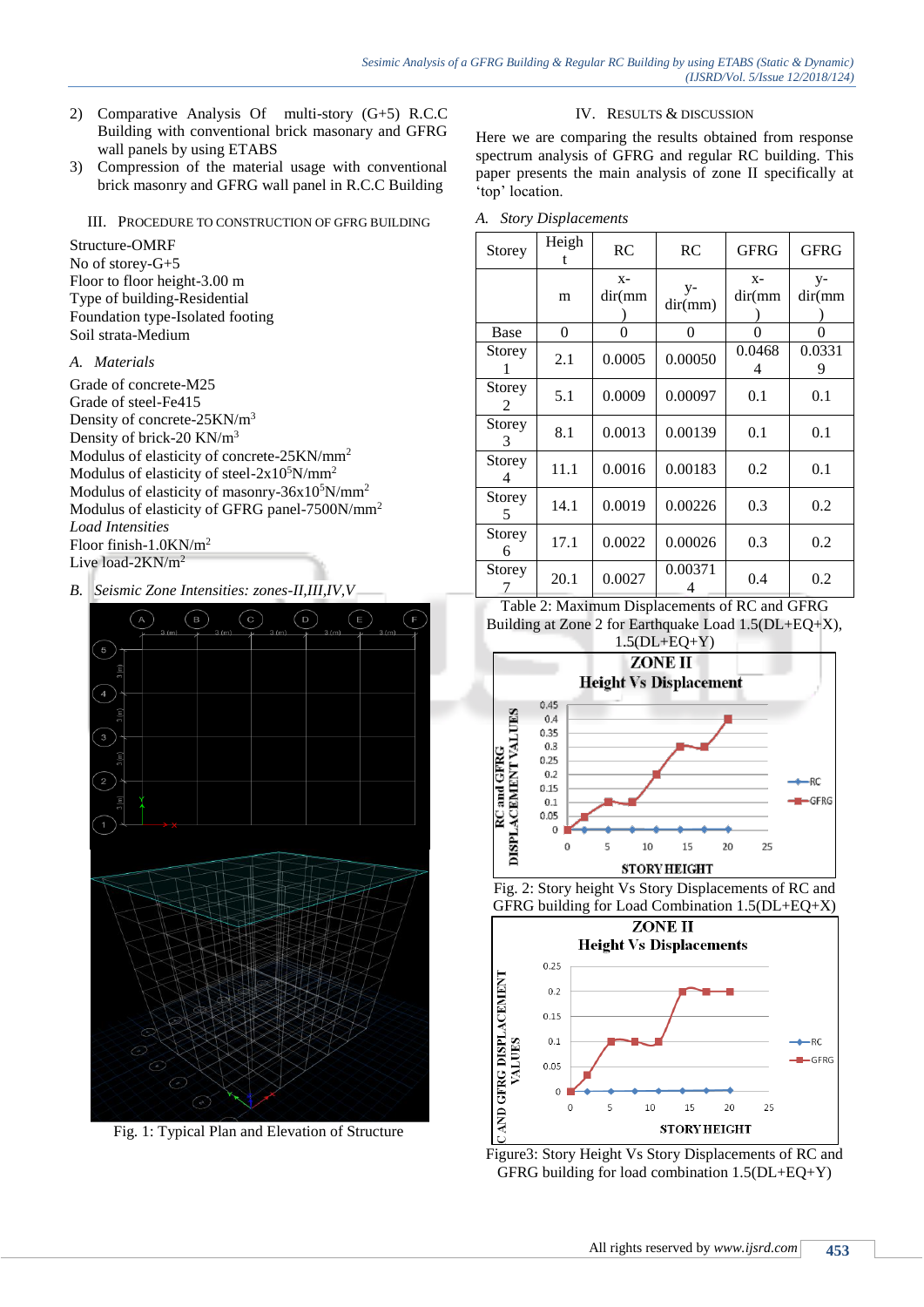- 2) Comparative Analysis Of multi-story (G+5) R.C.C Building with conventional brick masonary and GFRG wall panels by using ETABS
- 3) Compression of the material usage with conventional brick masonry and GFRG wall panel in R.C.C Building

III. PROCEDURE TO CONSTRUCTION OF GFRG BUILDING

Structure-OMRF No of storey-G+5 Floor to floor height-3.00 m Type of building-Residential Foundation type-Isolated footing Soil strata-Medium

# *A. Materials*

Grade of concrete-M25 Grade of steel-Fe415 Density of concrete-25KN/m<sup>3</sup> Density of brick-20 KN/m<sup>3</sup> Modulus of elasticity of concrete-25KN/mm<sup>2</sup> Modulus of elasticity of steel- $2x10^5$ N/mm<sup>2</sup> Modulus of elasticity of masonry- $36x10^5$ N/mm<sup>2</sup> Modulus of elasticity of GFRG panel-7500N/mm<sup>2</sup> *Load Intensities* Floor finish-1.0KN/m<sup>2</sup> Live load-2KN/m<sup>2</sup>

*B. Seismic Zone Intensities: zones-II,III,IV,V*



Fig. 1: Typical Plan and Elevation of Structure

# IV. RESULTS & DISCUSSION

Here we are comparing the results obtained from response spectrum analysis of GFRG and regular RC building. This paper presents the main analysis of zone II specifically at 'top' location.

*A. Story Displacements*

| Storey      | Heigh<br>t | RC               | RC              | <b>GFRG</b>      | <b>GFRG</b>  |
|-------------|------------|------------------|-----------------|------------------|--------------|
|             | m          | $X -$<br>dir(mm) | $y-$<br>dir(mm) | $X -$<br>dir(mm) | y-<br>dir(mm |
| Base        | $\theta$   | $\theta$         | 0               | $\Omega$         | 0            |
| Storey      | 2.1        | 0.0005           | 0.00050         | 0.0468<br>4      | 0.0331<br>9  |
| Storey<br>2 | 5.1        | 0.0009           | 0.00097         | 0.1              | 0.1          |
| Storey<br>3 | 8.1        | 0.0013           | 0.00139         | 0.1              | 0.1          |
| Storey<br>4 | 11.1       | 0.0016           | 0.00183         | 0.2              | 0.1          |
| Storey<br>5 | 14.1       | 0.0019           | 0.00226         | 0.3              | 0.2          |
| Storey<br>6 | 17.1       | 0.0022           | 0.00026         | 0.3              | 0.2          |
| Storey      | 20.1       | 0.0027           | 0.00371<br>4    | 0.4              | 0.2          |

Table 2: Maximum Displacements of RC and GFRG Building at Zone 2 for Earthquake Load 1.5(DL+EQ+X),







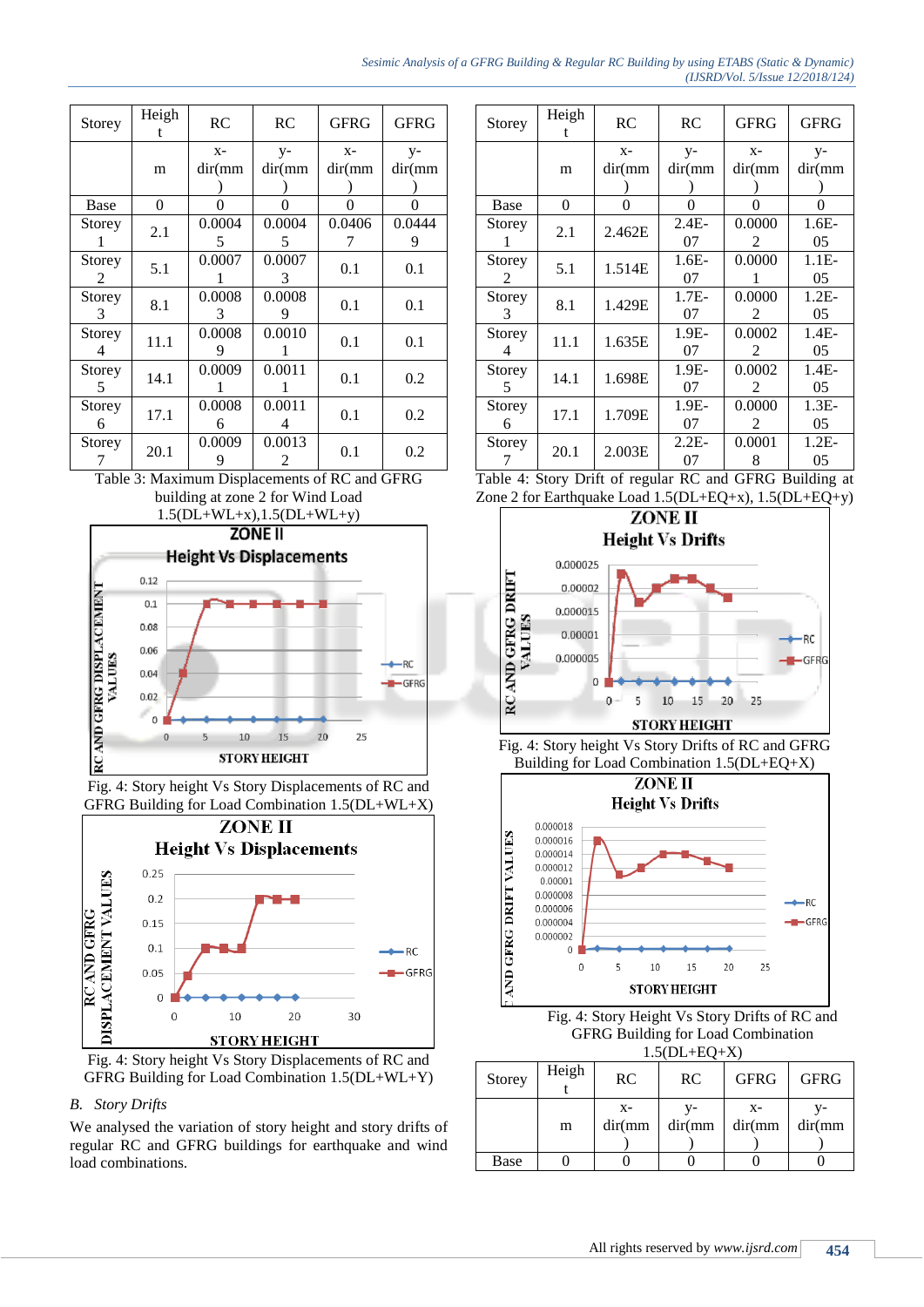#### *Sesimic Analysis of a GFRG Building & Regular RC Building by using ETABS (Static & Dynamic) (IJSRD/Vol. 5/Issue 12/2018/124)*

| Storey      | Heigh    | RC               | <b>RC</b>     | <b>GFRG</b>     | GFRG         |
|-------------|----------|------------------|---------------|-----------------|--------------|
|             | m        | $X -$<br>dir(mm) | y-<br>dir(mm) | $X -$<br>dir(mm | y-<br>dir(mm |
| Base        | $\theta$ | O                | 0             | 0               | 0            |
| Storey      | 2.1      | 0.0004<br>5      | 0.0004<br>5   | 0.0406          | 0.0444<br>9  |
| Storey<br>2 | 5.1      | 0.0007           | 0.0007<br>3   | 0.1             | 0.1          |
| Storey<br>3 | 8.1      | 0.0008<br>3      | 0.0008<br>9   | 0.1             | 0.1          |
| Storey<br>4 | 11.1     | 0.0008<br>9      | 0.0010        | 0.1             | 0.1          |
| Storey<br>5 | 14.1     | 0.0009           | 0.0011<br>1   | 0.1             | 0.2          |
| Storey<br>6 | 17.1     | 0.0008<br>6      | 0.0011<br>4   | 0.1             | 0.2          |
| Storey      | 20.1     | 0.0009<br>9      | 0.0013<br>2   | 0.1             | 0.2          |





Fig. 4: Story height Vs Story Displacements of RC and GFRG Building for Load Combination 1.5(DL+WL+X)



Fig. 4: Story height Vs Story Displacements of RC and GFRG Building for Load Combination 1.5(DL+WL+Y)

# *B. Story Drifts*

We analysed the variation of story height and story drifts of regular RC and GFRG buildings for earthquake and wind load combinations.

| Storey | Heigh          | RC       | <b>RC</b> | <b>GFRG</b> | <b>GFRG</b> |
|--------|----------------|----------|-----------|-------------|-------------|
|        |                | $X-$     | $y-$      | $X -$       | $V -$       |
|        | m              | dir(mm)  | dir(mm    | dir(mm)     | dir(mm      |
|        |                |          |           |             |             |
| Base   | $\overline{0}$ | $\Omega$ | 0         | 0           | 0           |
| Storey |                |          | $2.4E-$   | 0.0000      | $1.6E-$     |
| 1      | 2.1            | 2.462E   | 07        | 2           | 05          |
| Storey | 5.1            | 1.514E   | $1.6E-$   | 0.0000      | $1.1E-$     |
| 2      |                |          | 07        | 1           | 05          |
| Storey | 8.1            | 1.429E   | $1.7E-$   | 0.0000      | $1.2E-$     |
| 3      |                |          | 07        | 2           | 05          |
| Storey |                |          | $1.9E-$   | 0.0002      | $1.4E-$     |
| 4      | 11.1           | 1.635E   | 07        | 2           | 05          |
| Storey | 14.1           | 1.698E   | 1.9E-     | 0.0002      | $1.4E-$     |
| 5      |                |          | 07        | 2           | 05          |
| Storey | 17.1           | 1.709E   | 1.9E-     | 0.0000      | $1.3E-$     |
| 6      |                |          | 07        | 2           | 05          |
| Storey |                |          | $2.2E-$   | 0.0001      | $1.2E-$     |
| 7      | 20.1           | 2.003E   | 07        | 8           | 05          |

|  |  | Table 4: Story Drift of regular RC and GFRG Building at    |
|--|--|------------------------------------------------------------|
|  |  | Zone 2 for Earthquake Load $1.5(DL+EQ+x)$ , $1.5(DL+EQ+y)$ |



Fig. 4: Story height Vs Story Drifts of RC and GFRG Building for Load Combination 1.5(DL+EQ+X)



Fig. 4: Story Height Vs Story Drifts of RC and GFRG Building for Load Combination  $1.5(DL+EQ+X)$ 

| Storey | Heigh | RC              | <b>RC</b>     | <b>GFRG</b>     | <b>GFRG</b>  |
|--------|-------|-----------------|---------------|-----------------|--------------|
|        | m     | $X-$<br>dir(mm) | v-<br>dir(mm) | $X-$<br>dir(mm) | v-<br>dir(mm |
| Base   |       |                 |               |                 |              |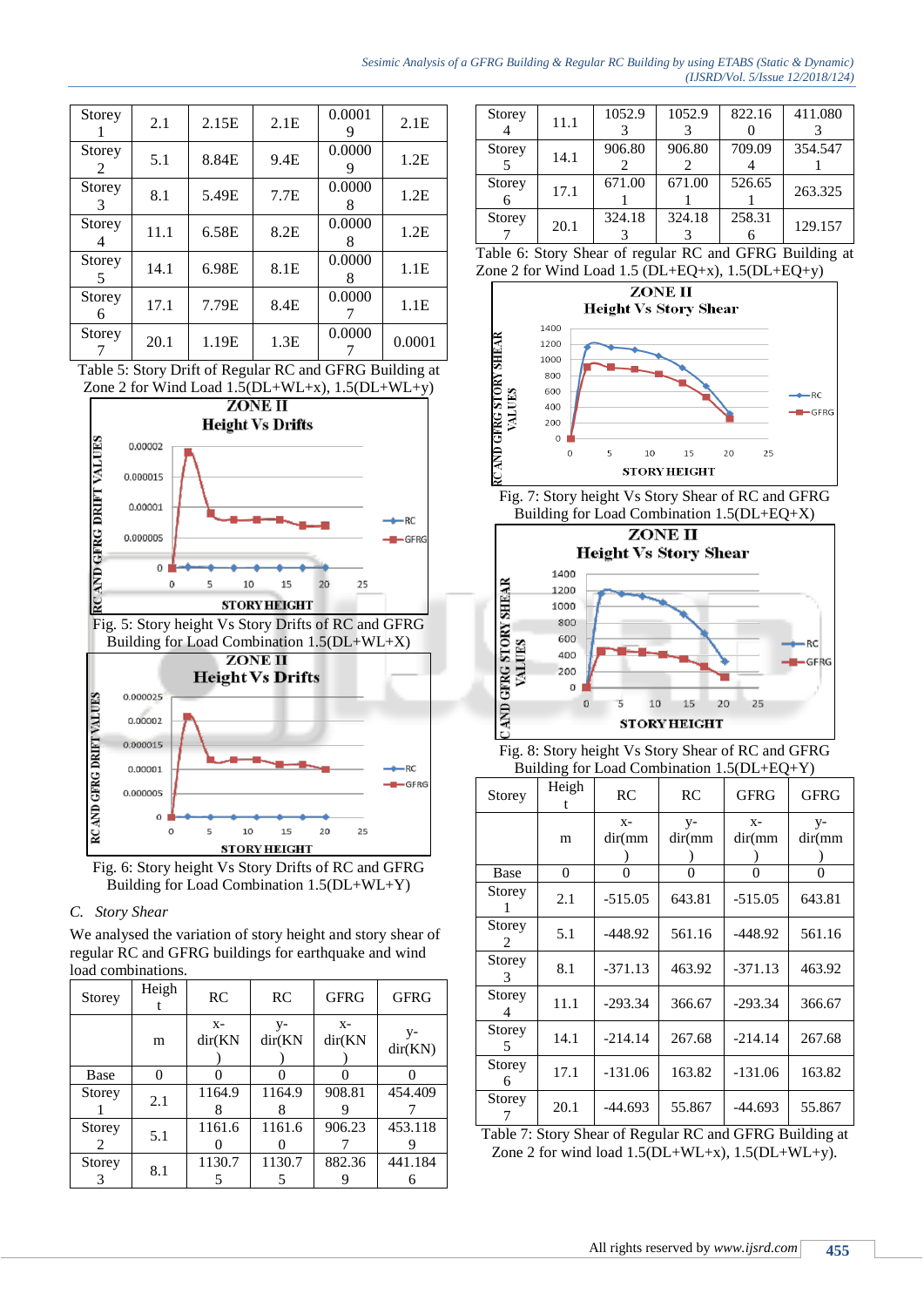### *Sesimic Analysis of a GFRG Building & Regular RC Building by using ETABS (Static & Dynamic) (IJSRD/Vol. 5/Issue 12/2018/124)*

| Storey                  | 2.1  | 2.15E | 2.1E | 0.0001<br>9 | 2.1E   |
|-------------------------|------|-------|------|-------------|--------|
| Storey<br>$\mathcal{L}$ | 5.1  | 8.84E | 9.4E | 0.0000      | 1.2E   |
| Storey<br>3             | 8.1  | 5.49E | 7.7E | 0.0000<br>8 | 1.2E   |
| Storey<br>4             | 11.1 | 6.58E | 8.2E | 0.0000<br>8 | 1.2E   |
| Storey<br>5             | 14.1 | 6.98E | 8.1E | 0.0000<br>x | 1.1E   |
| Storey<br>6             | 17.1 | 7.79E | 8.4E | 0.0000      | 1.1E   |
| Storey                  | 20.1 | 1.19E | 1.3E | 0.0000      | 0.0001 |

Table 5: Story Drift of Regular RC and GFRG Building at Zone 2 for Wind Load 1.5(DL+WL+x), 1.5(DL+WL+y)



Fig. 6: Story height Vs Story Drifts of RC and GFRG Building for Load Combination 1.5(DL+WL+Y)

# *C. Story Shear*

We analysed the variation of story height and story shear of regular RC and GFRG buildings for earthquake and wind load combinations.

| Storey      | Heigh    | <b>RC</b>       | RC              | <b>GFRG</b>     | <b>GFRG</b>      |
|-------------|----------|-----------------|-----------------|-----------------|------------------|
|             | m        | $X-$<br>dir(KN) | $V -$<br>dir(KN | $X -$<br>dir(KN | $V -$<br>dir(KN) |
| Base        | $\theta$ |                 | 0               |                 |                  |
| Storey      | 2.1      | 1164.9          | 1164.9          | 908.81          | 454.409          |
| Storey<br>2 | 5.1      | 1161.6          | 1161.6          | 906.23          | 453.118          |
| Storey      | 8.1      | 1130.7          | 1130.7          | 882.36          | 441.184          |

| Storey                | 11.1   | 1052.9 | 1052.9       | 822.16 | 411.080 |
|-----------------------|--------|--------|--------------|--------|---------|
|                       |        |        |              |        |         |
| <b>Storey</b>         | 14.1   | 906.80 | 906.80       | 709.09 | 354.547 |
|                       |        |        |              |        |         |
| Storey                | 17.1   | 671.00 | 671.00       | 526.65 | 263.325 |
|                       |        |        |              |        |         |
| Storey                | 20.1   | 324.18 | 324.18       | 258.31 | 129.157 |
|                       |        |        |              |        |         |
| — 11<br>$\sim$ $\sim$ | $\sim$ |        | $\mathbf{r}$ | 1.2    |         |

| Table 6: Story Shear of regular RC and GFRG Building at   |  |
|-----------------------------------------------------------|--|
| Zone 2 for Wind Load 1.5 ( $DL+EQ+x$ ), 1.5 ( $DL+EQ+y$ ) |  |



Fig. 7: Story height Vs Story Shear of RC and GFRG Building for Load Combination 1.5(DL+EQ+X)



Fig. 8: Story height Vs Story Shear of RC and GFRG Building for Load Combination 1.5(DL+EQ+Y)

| Storey      | Heigh<br>t | RC               | RC             | GFRG             | <b>GFRG</b>     |
|-------------|------------|------------------|----------------|------------------|-----------------|
|             | m          | $X -$<br>dir(mm) | $y-$<br>dir(mm | $X -$<br>dir(mm) | $V -$<br>dir(mm |
| Base        | 0          | $\theta$         | 0              | 0                | 0               |
| Storey<br>1 | 2.1        | $-515.05$        | 643.81         | $-515.05$        | 643.81          |
| Storey<br>2 | 5.1        | -448.92          | 561.16         | $-448.92$        | 561.16          |
| Storey<br>3 | 8.1        | $-371.13$        | 463.92         | $-371.13$        | 463.92          |
| Storey<br>4 | 11.1       | $-293.34$        | 366.67         | $-293.34$        | 366.67          |
| Storey<br>5 | 14.1       | $-214.14$        | 267.68         | $-214.14$        | 267.68          |
| Storey<br>6 | 17.1       | $-131.06$        | 163.82         | $-131.06$        | 163.82          |
| Storey      | 20.1       | -44.693          | 55.867         | $-44.693$        | 55.867          |

Table 7: Story Shear of Regular RC and GFRG Building at Zone 2 for wind load  $1.5(DL+WL+x)$ ,  $1.5(DL+WL+y)$ .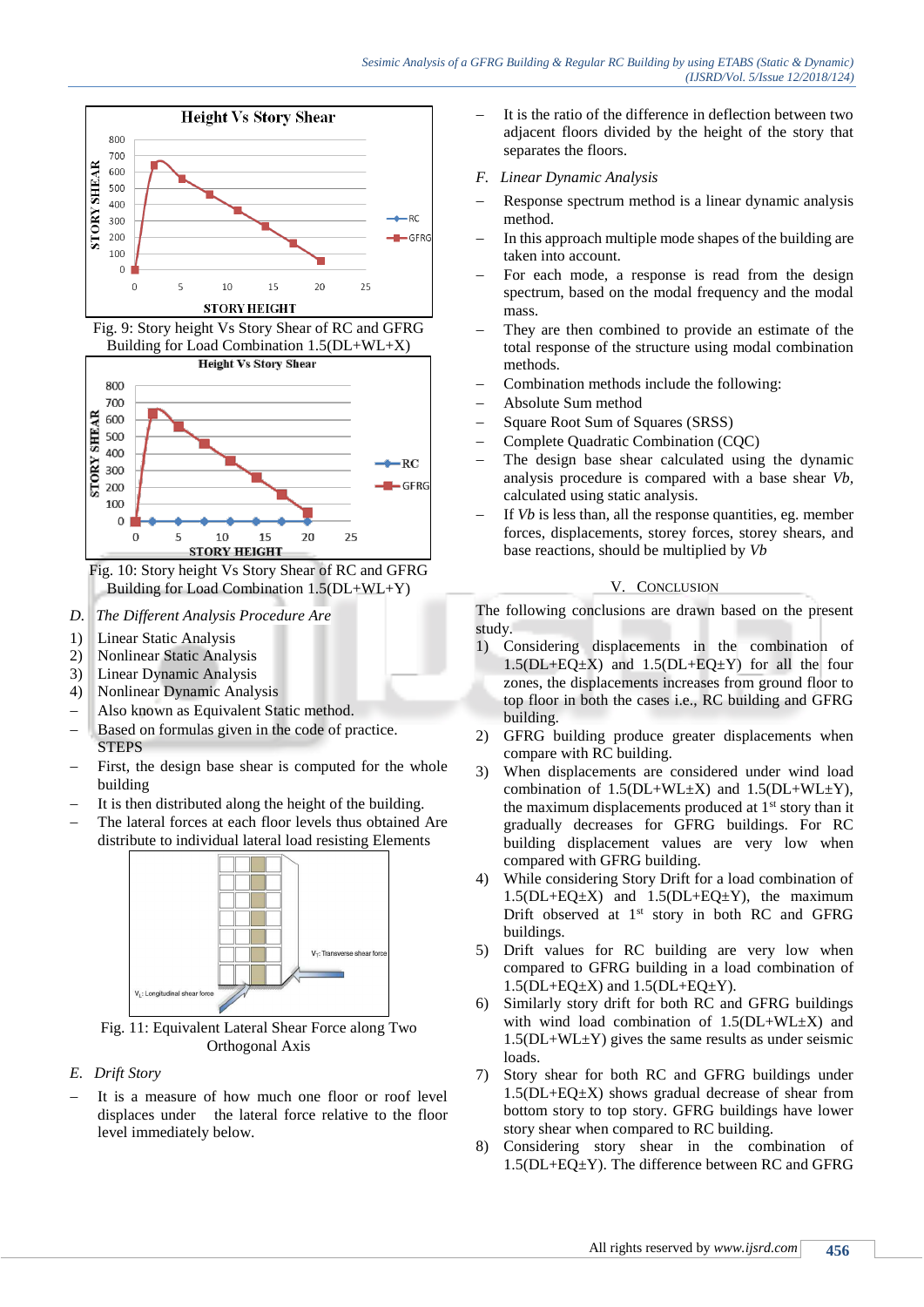





Fig. 10: Story height Vs Story Shear of RC and GFRG Building for Load Combination 1.5(DL+WL+Y)

- *D. The Different Analysis Procedure Are*
- 1) Linear Static Analysis
- 2) Nonlinear Static Analysis
- 3) Linear Dynamic Analysis
- 4) Nonlinear Dynamic Analysis
- Also known as Equivalent Static method.
- Based on formulas given in the code of practice. STEPS
- First, the design base shear is computed for the whole building
- It is then distributed along the height of the building.
- The lateral forces at each floor levels thus obtained Are distribute to individual lateral load resisting Elements



Fig. 11: Equivalent Lateral Shear Force along Two Orthogonal Axis

# *E. Drift Story*

 It is a measure of how much one floor or roof level displaces under the lateral force relative to the floor level immediately below.

- It is the ratio of the difference in deflection between two adjacent floors divided by the height of the story that separates the floors.
- *F. Linear Dynamic Analysis*
- Response spectrum method is a linear dynamic analysis method.
- In this approach multiple mode shapes of the building are taken into account.
- For each mode, a response is read from the design spectrum, based on the modal frequency and the modal mass.
- They are then combined to provide an estimate of the total response of the structure using modal combination methods.
- Combination methods include the following:
- Absolute Sum method
- Square Root Sum of Squares (SRSS)
- Complete Quadratic Combination (CQC)
- The design base shear calculated using the dynamic analysis procedure is compared with a base shear *Vb,* calculated using static analysis.
- If *Vb* is less than, all the response quantities, eg. member forces, displacements, storey forces, storey shears, and base reactions, should be multiplied by *Vb*

# V. CONCLUSION

The following conclusions are drawn based on the present study.

- 1) Considering displacements in the combination of  $1.5(DL+EQ\pm X)$  and  $1.5(DL+EQ\pm Y)$  for all the four zones, the displacements increases from ground floor to top floor in both the cases i.e., RC building and GFRG building.
- 2) GFRG building produce greater displacements when compare with RC building.
- 3) When displacements are considered under wind load combination of  $1.5(DL+WL+X)$  and  $1.5(DL+WL+Y)$ , the maximum displacements produced at 1st story than it gradually decreases for GFRG buildings. For RC building displacement values are very low when compared with GFRG building.
- 4) While considering Story Drift for a load combination of  $1.5(DL+EQ\pm X)$  and  $1.5(DL+EQ\pm Y)$ , the maximum Drift observed at 1<sup>st</sup> story in both RC and GFRG buildings.
- 5) Drift values for RC building are very low when compared to GFRG building in a load combination of  $1.5(DL+EQ\pm X)$  and  $1.5(DL+EQ\pm Y)$ .
- 6) Similarly story drift for both RC and GFRG buildings with wind load combination of 1.5(DL+WL±X) and  $1.5(DL+WL+Y)$  gives the same results as under seismic loads.
- 7) Story shear for both RC and GFRG buildings under  $1.5(DL+EQ\pm X)$  shows gradual decrease of shear from bottom story to top story. GFRG buildings have lower story shear when compared to RC building.
- 8) Considering story shear in the combination of 1.5(DL+EQ±Y). The difference between RC and GFRG